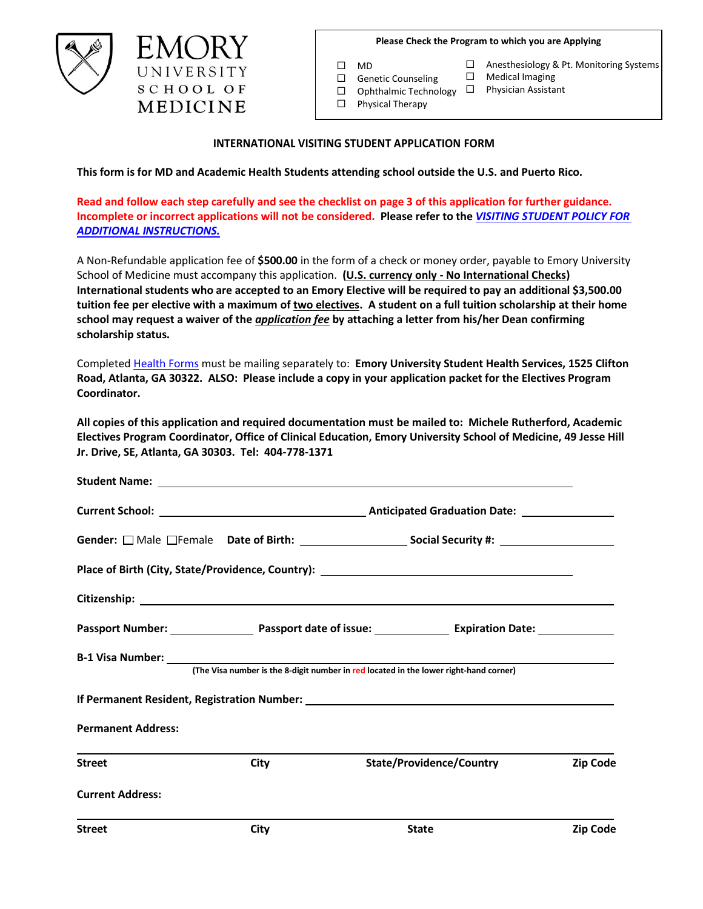**Please Check the Program to which you are Applying**

 $\square$  MD

- □ Anesthesiology & Pt. Monitoring Systems
- $\Box$  Medical Imaging
- $\Box$  Ophthalmic Technology  $\Box$
- □ Genetic Counseling
	-
- 
- 

 $\Box$  Physical Therapy

Physician Assistant

## **INTERNATIONAL VISITING STUDENT APPLICATION FORM**

**This form is for MD and Academic Health Students attending school outside the U.S. and Puerto Rico.**

**Read and follow each step carefully and see the checklist on page 3 of this application for further guidance. Incomplete or incorrect applications will not be considered. Please refer to the** *[VISITING S](https://emorymed.emory.edu/Public/CurriculumPublicPages/Visiting%20Student%20Policy.pdf)TUDENT [POLICY FOR](https://emorymed.emory.edu/Public/CurriculumPublicPages/Visiting%20Student%20Policy.pdf) [ADDITIONAL INSTRUCTIONS.](https://emorymed.emory.edu/Public/CurriculumPublicPages/Visiting%20Student%20Policy.pdf)*

A Non-Refundable application fee of **\$500.00** in the form of a check or money order, payable to Emory University School of Medicine must accompany this application. **(U.S. currency only - No International Checks) International students who are accepted to an Emory Elective will be required to pay an additional \$3,500.00 tuition fee per elective with a maximum of two electives. A student on a full tuition scholarship at their home school may request a waiver of the** *application fee* **by attaching a letter from his/her Dean confirming scholarship status.**

Completed [Health Forms](https://emorymed.emory.edu/Public/CurriculumPublicPages/Usercontrols/EntranceMedicalRecord.PDF) must be mailing separately to: **Emory University Student Health Services, 1525 Clifton Road, Atlanta, GA 30322. ALSO: Please include a copy in your application packet for the Electives Program Coordinator.**

**All copies of this application and required documentation must be mailed to: Michele Rutherford, Academic Electives Program Coordinator, Office of Clinical Education, Emory University School of Medicine, 49 Jesse Hill Jr. Drive, SE, Atlanta, GA 30303. Tel: 404-778-1371** 

|                           | Passport Number: Number: 2008 Passport date of issue: 2008 Communisty Passport Number: 2008 Passport date of issue: |  |                                                                                       |          |  |
|---------------------------|---------------------------------------------------------------------------------------------------------------------|--|---------------------------------------------------------------------------------------|----------|--|
|                           |                                                                                                                     |  | (The Visa number is the 8-digit number in red located in the lower right-hand corner) |          |  |
|                           |                                                                                                                     |  |                                                                                       |          |  |
| <b>Permanent Address:</b> |                                                                                                                     |  |                                                                                       |          |  |
| <b>Street</b>             | City                                                                                                                |  | <b>State/Providence/Country</b>                                                       |          |  |
| <b>Current Address:</b>   |                                                                                                                     |  |                                                                                       |          |  |
| <b>Street</b>             | City                                                                                                                |  | <b>State</b>                                                                          | Zip Code |  |

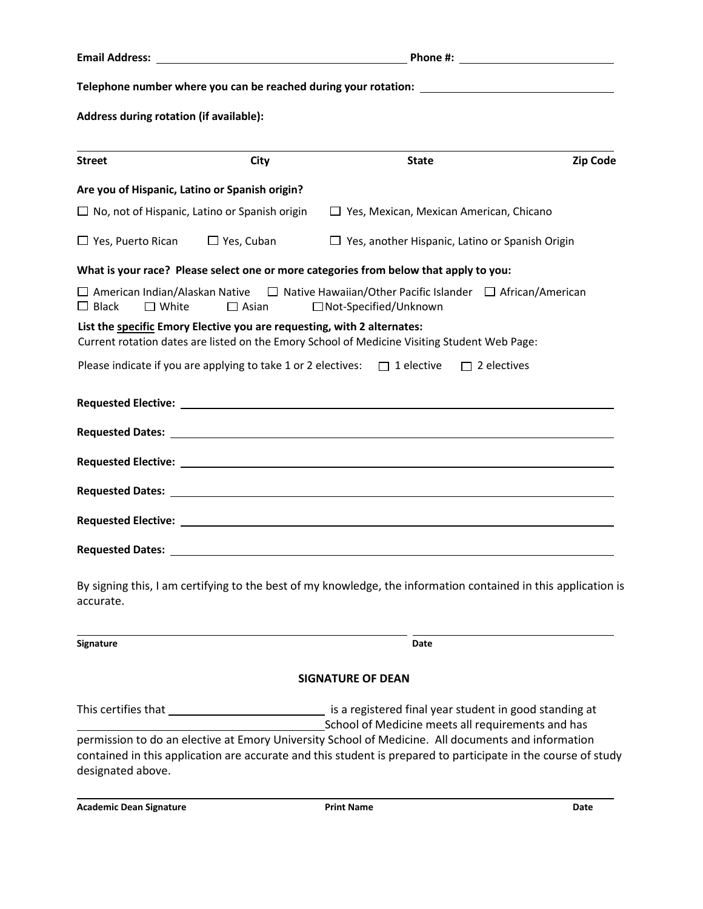**Telephone number where you can be reached during your rotation:** 

**Address during rotation (if available):** 

| <b>Street</b>                                  | City                                                                            | <b>State</b>                                                                                                                                                                                                        | <b>Zip Code</b> |
|------------------------------------------------|---------------------------------------------------------------------------------|---------------------------------------------------------------------------------------------------------------------------------------------------------------------------------------------------------------------|-----------------|
| Are you of Hispanic, Latino or Spanish origin? |                                                                                 |                                                                                                                                                                                                                     |                 |
|                                                | $\Box$ No, not of Hispanic, Latino or Spanish origin                            | $\Box$ Yes, Mexican, Mexican American, Chicano                                                                                                                                                                      |                 |
| $\Box$ Yes, Puerto Rican                       | $\Box$ Yes, Cuban                                                               | $\Box$ Yes, another Hispanic, Latino or Spanish Origin                                                                                                                                                              |                 |
|                                                |                                                                                 | What is your race? Please select one or more categories from below that apply to you:                                                                                                                               |                 |
| $\Box$ Black<br>$\Box$ White                   | $\Box$ Asian                                                                    | $\Box$ American Indian/Alaskan Native $\Box$ Native Hawaiian/Other Pacific Islander $\Box$ African/American<br>□Not-Specified/Unknown                                                                               |                 |
|                                                | List the specific Emory Elective you are requesting, with 2 alternates:         | Current rotation dates are listed on the Emory School of Medicine Visiting Student Web Page:                                                                                                                        |                 |
|                                                | Please indicate if you are applying to take 1 or 2 electives: $\Box$ 1 elective | $\Box$ 2 electives                                                                                                                                                                                                  |                 |
|                                                |                                                                                 |                                                                                                                                                                                                                     |                 |
|                                                |                                                                                 | Requested Dates: <u>2008 and 2008 and 2008 and 2008 and 2008 and 2008 and 2008 and 2008 and 2008 and 2008 and 200</u>                                                                                               |                 |
|                                                |                                                                                 |                                                                                                                                                                                                                     |                 |
|                                                |                                                                                 |                                                                                                                                                                                                                     |                 |
|                                                |                                                                                 |                                                                                                                                                                                                                     |                 |
|                                                |                                                                                 |                                                                                                                                                                                                                     |                 |
| accurate.                                      |                                                                                 | By signing this, I am certifying to the best of my knowledge, the information contained in this application is                                                                                                      |                 |
| <b>Signature</b>                               |                                                                                 | Date                                                                                                                                                                                                                |                 |
|                                                |                                                                                 | <b>SIGNATURE OF DEAN</b>                                                                                                                                                                                            |                 |
|                                                |                                                                                 | is a registered final year student in good standing at<br>School of Medicine meets all requirements and has                                                                                                         |                 |
| designated above.                              |                                                                                 | permission to do an elective at Emory University School of Medicine. All documents and information<br>contained in this application are accurate and this student is prepared to participate in the course of study |                 |

**Academic Dean Signature Print Name Date**